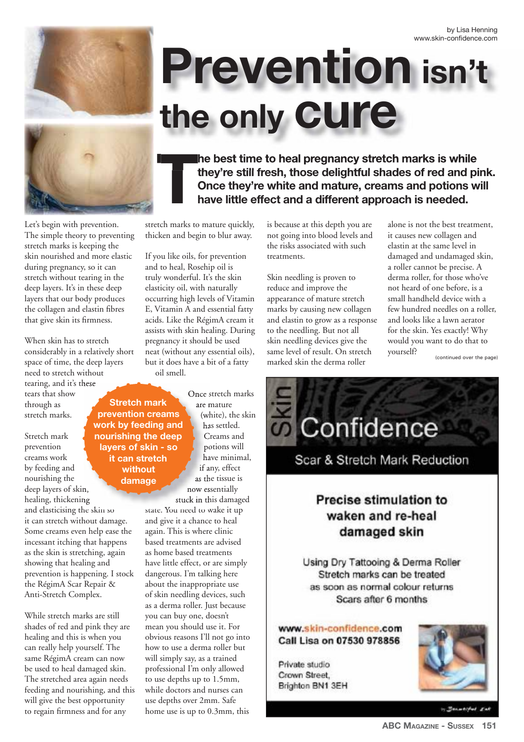



Let's begin with prevention. The simple theory to preventing stretch marks is keeping the skin nourished and more elastic during pregnancy, so it can stretch without tearing in the deep layers. It's in these deep layers that our body produces the collagen and elastin fibres that give skin its firmness.

When skin has to stretch considerably in a relatively short space of time, the deep layers need to stretch without tearing, and it's these tears that show through as stretch marks.

Stretch mark prevention creams work by feeding and nourishing the deep layers of skin, healing, thickening

and elasticising the skin so it can stretch without damage. Some creams even help ease the incessant itching that happens as the skin is stretching, again showing that healing and prevention is happening. I stock the RégimA Scar Repair & Anti-Stretch Complex.

While stretch marks are still shades of red and pink they are healing and this is when you can really help yourself. The same RégimA cream can now be used to heal damaged skin. The stretched area again needs feeding and nourishing, and this will give the best opportunity to regain firmness and for any

**Stretch mark prevention creams work by feeding and nourishing the deep layers of skin - so it can stretch without damage**

**Prevention isn't the only cure**

**T he best time to heal pregnancy stretch marks is while they're still fresh, those delightful shades of red and pink. Once they're white and mature, creams and potions will have little effect and a different approach is needed.** 

stretch marks to mature quickly, thicken and begin to blur away.

If you like oils, for prevention and to heal, Rosehip oil is truly wonderful. It's the skin elasticity oil, with naturally occurring high levels of Vitamin E, Vitamin A and essential fatty acids. Like the RégimA cream it assists with skin healing. During pregnancy it should be used neat (without any essential oils), but it does have a bit of a fatty oil smell.

> Once stretch marks are mature (white), the skin has settled. Creams and potions will have minimal, if any, effect as the tissue is now essentially

stuck in this damaged state. You need to wake it up and give it a chance to heal again. This is where clinic based treatments are advised as home based treatments have little effect, or are simply dangerous. I'm talking here about the inappropriate use of skin needling devices, such as a derma roller. Just because you can buy one, doesn't mean you should use it. For obvious reasons I'll not go into how to use a derma roller but will simply say, as a trained professional I'm only allowed to use depths up to 1.5mm, while doctors and nurses can use depths over 2mm. Safe home use is up to 0.3mm, this

is because at this depth you are not going into blood levels and the risks associated with such treatments.

Skin needling is proven to reduce and improve the appearance of mature stretch marks by causing new collagen and elastin to grow as a response to the needling. But not all skin needling devices give the same level of result. On stretch marked skin the derma roller

alone is not the best treatment, it causes new collagen and elastin at the same level in damaged and undamaged skin, a roller cannot be precise. A derma roller, for those who've not heard of one before, is a small handheld device with a few hundred needles on a roller, and looks like a lawn aerator for the skin. Yes exactly! Why would you want to do that to yourself? (continued over the page)



in Bennerful Eat